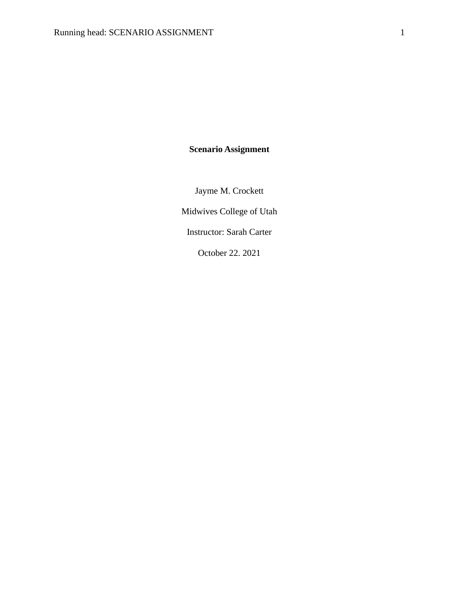**Scenario Assignment**

Jayme M. Crockett

Midwives College of Utah

Instructor: Sarah Carter

October 22. 2021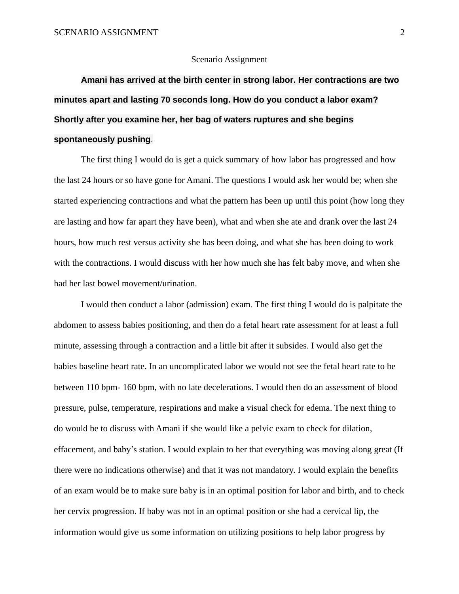## Scenario Assignment

**Amani has arrived at the birth center in strong labor. Her contractions are two minutes apart and lasting 70 seconds long. How do you conduct a labor exam? Shortly after you examine her, her bag of waters ruptures and she begins spontaneously pushing**.

The first thing I would do is get a quick summary of how labor has progressed and how the last 24 hours or so have gone for Amani. The questions I would ask her would be; when she started experiencing contractions and what the pattern has been up until this point (how long they are lasting and how far apart they have been), what and when she ate and drank over the last 24 hours, how much rest versus activity she has been doing, and what she has been doing to work with the contractions. I would discuss with her how much she has felt baby move, and when she had her last bowel movement/urination.

I would then conduct a labor (admission) exam. The first thing I would do is palpitate the abdomen to assess babies positioning, and then do a fetal heart rate assessment for at least a full minute, assessing through a contraction and a little bit after it subsides. I would also get the babies baseline heart rate. In an uncomplicated labor we would not see the fetal heart rate to be between 110 bpm- 160 bpm, with no late decelerations. I would then do an assessment of blood pressure, pulse, temperature, respirations and make a visual check for edema. The next thing to do would be to discuss with Amani if she would like a pelvic exam to check for dilation, effacement, and baby's station. I would explain to her that everything was moving along great (If there were no indications otherwise) and that it was not mandatory. I would explain the benefits of an exam would be to make sure baby is in an optimal position for labor and birth, and to check her cervix progression. If baby was not in an optimal position or she had a cervical lip, the information would give us some information on utilizing positions to help labor progress by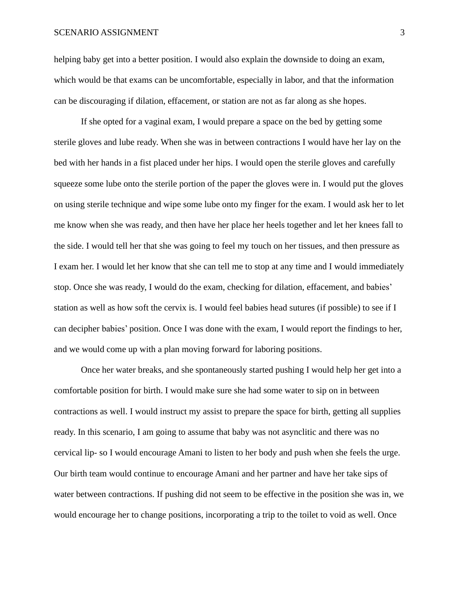## SCENARIO ASSIGNMENT 3

helping baby get into a better position. I would also explain the downside to doing an exam, which would be that exams can be uncomfortable, especially in labor, and that the information can be discouraging if dilation, effacement, or station are not as far along as she hopes.

If she opted for a vaginal exam, I would prepare a space on the bed by getting some sterile gloves and lube ready. When she was in between contractions I would have her lay on the bed with her hands in a fist placed under her hips. I would open the sterile gloves and carefully squeeze some lube onto the sterile portion of the paper the gloves were in. I would put the gloves on using sterile technique and wipe some lube onto my finger for the exam. I would ask her to let me know when she was ready, and then have her place her heels together and let her knees fall to the side. I would tell her that she was going to feel my touch on her tissues, and then pressure as I exam her. I would let her know that she can tell me to stop at any time and I would immediately stop. Once she was ready, I would do the exam, checking for dilation, effacement, and babies' station as well as how soft the cervix is. I would feel babies head sutures (if possible) to see if I can decipher babies' position. Once I was done with the exam, I would report the findings to her, and we would come up with a plan moving forward for laboring positions.

Once her water breaks, and she spontaneously started pushing I would help her get into a comfortable position for birth. I would make sure she had some water to sip on in between contractions as well. I would instruct my assist to prepare the space for birth, getting all supplies ready. In this scenario, I am going to assume that baby was not asynclitic and there was no cervical lip- so I would encourage Amani to listen to her body and push when she feels the urge. Our birth team would continue to encourage Amani and her partner and have her take sips of water between contractions. If pushing did not seem to be effective in the position she was in, we would encourage her to change positions, incorporating a trip to the toilet to void as well. Once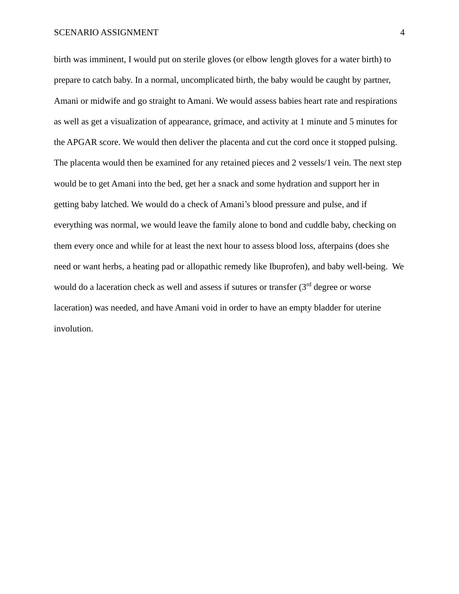## SCENARIO ASSIGNMENT 4

birth was imminent, I would put on sterile gloves (or elbow length gloves for a water birth) to prepare to catch baby. In a normal, uncomplicated birth, the baby would be caught by partner, Amani or midwife and go straight to Amani. We would assess babies heart rate and respirations as well as get a visualization of appearance, grimace, and activity at 1 minute and 5 minutes for the APGAR score. We would then deliver the placenta and cut the cord once it stopped pulsing. The placenta would then be examined for any retained pieces and 2 vessels/1 vein. The next step would be to get Amani into the bed, get her a snack and some hydration and support her in getting baby latched. We would do a check of Amani's blood pressure and pulse, and if everything was normal, we would leave the family alone to bond and cuddle baby, checking on them every once and while for at least the next hour to assess blood loss, afterpains (does she need or want herbs, a heating pad or allopathic remedy like Ibuprofen), and baby well-being. We would do a laceration check as well and assess if sutures or transfer  $(3<sup>rd</sup>$  degree or worse laceration) was needed, and have Amani void in order to have an empty bladder for uterine involution.